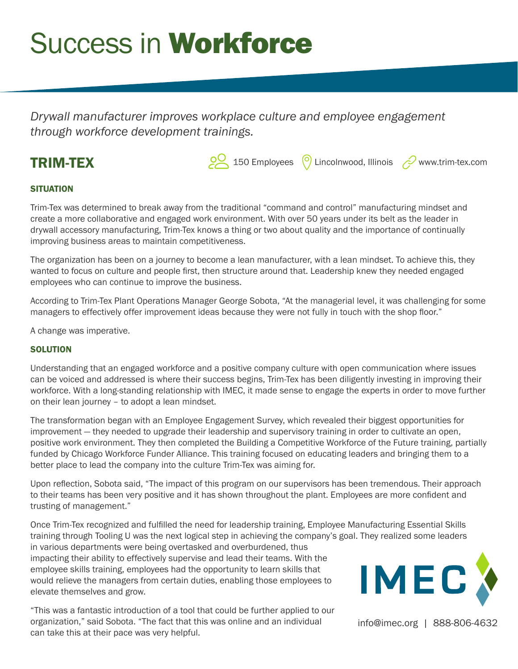# **Success in Workforce**

*Drywall manufacturer improves workplace culture and employee engagement through workforce development trainings.*

## TRIM-TEX

**20** 150 Employees  $\bigcirc$  Lincolnwood, Illinois  $\oslash$  www.trim-tex.com

### **SITUATION**

Trim-Tex was determined to break away from the traditional "command and control" manufacturing mindset and create a more collaborative and engaged work environment. With over 50 years under its belt as the leader in drywall accessory manufacturing, Trim-Tex knows a thing or two about quality and the importance of continually improving business areas to maintain competitiveness.

The organization has been on a journey to become a lean manufacturer, with a lean mindset. To achieve this, they wanted to focus on culture and people first, then structure around that. Leadership knew they needed engaged employees who can continue to improve the business.

According to Trim-Tex Plant Operations Manager George Sobota, "At the managerial level, it was challenging for some managers to effectively offer improvement ideas because they were not fully in touch with the shop floor."

A change was imperative.

#### **SOLUTION**

Understanding that an engaged workforce and a positive company culture with open communication where issues can be voiced and addressed is where their success begins, Trim-Tex has been diligently investing in improving their workforce. With a long-standing relationship with IMEC, it made sense to engage the experts in order to move further on their lean journey – to adopt a lean mindset.

The transformation began with an Employee Engagement Survey, which revealed their biggest opportunities for improvement — they needed to upgrade their leadership and supervisory training in order to cultivate an open, positive work environment. They then completed the Building a Competitive Workforce of the Future training, partially funded by Chicago Workforce Funder Alliance. This training focused on educating leaders and bringing them to a better place to lead the company into the culture Trim-Tex was aiming for.

Upon reflection, Sobota said, "The impact of this program on our supervisors has been tremendous. Their approach to their teams has been very positive and it has shown throughout the plant. Employees are more confident and trusting of management."

Once Trim-Tex recognized and fulfilled the need for leadership training, Employee Manufacturing Essential Skills training through Tooling U was the next logical step in achieving the company's goal. They realized some leaders

in various departments were being overtasked and overburdened, thus impacting their ability to effectively supervise and lead their teams. With the employee skills training, employees had the opportunity to learn skills that would relieve the managers from certain duties, enabling those employees to elevate themselves and grow.

"This was a fantastic introduction of a tool that could be further applied to our organization," said Sobota. "The fact that this was online and an individual can take this at their pace was very helpful.



info@imec.org | 888-806-4632